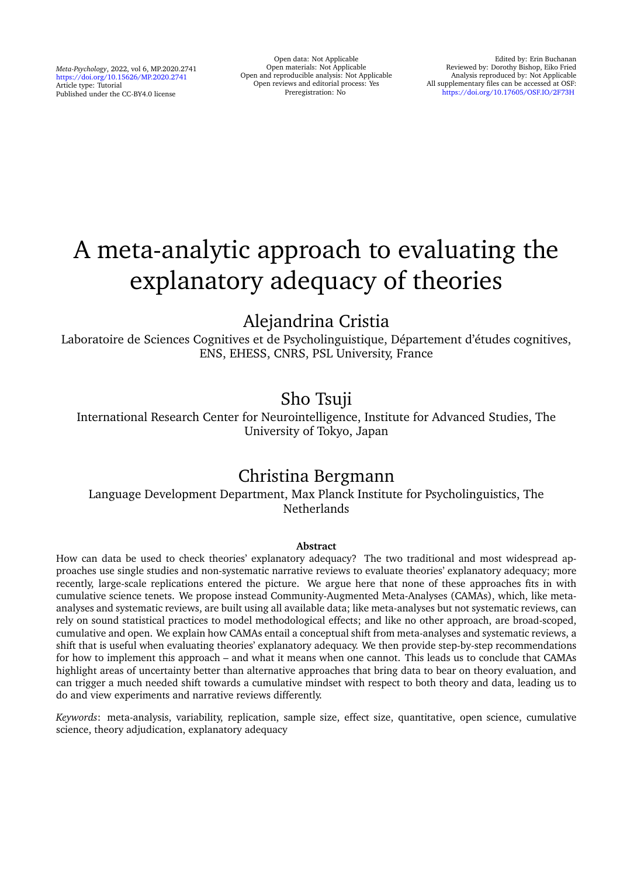*Meta-Psychology*, 2022, vol 6, MP.2020.2741 <https://doi.org/10.15626/MP.2020.2741> Article type: Tutorial Published under the CC-BY4.0 license

Open data: Not Applicable Open materials: Not Applicable Open and reproducible analysis: Not Applicable Open reviews and editorial process: Yes Preregistration: No

# A meta-analytic approach to evaluating the explanatory adequacy of theories

# Alejandrina Cristia

Laboratoire de Sciences Cognitives et de Psycholinguistique, Département d'études cognitives, ENS, EHESS, CNRS, PSL University, France

# Sho Tsuji

International Research Center for Neurointelligence, Institute for Advanced Studies, The University of Tokyo, Japan

# Christina Bergmann

Language Development Department, Max Planck Institute for Psycholinguistics, The **Netherlands** 

# **Abstract**

How can data be used to check theories' explanatory adequacy? The two traditional and most widespread approaches use single studies and non-systematic narrative reviews to evaluate theories' explanatory adequacy; more recently, large-scale replications entered the picture. We argue here that none of these approaches fits in with cumulative science tenets. We propose instead Community-Augmented Meta-Analyses (CAMAs), which, like metaanalyses and systematic reviews, are built using all available data; like meta-analyses but not systematic reviews, can rely on sound statistical practices to model methodological effects; and like no other approach, are broad-scoped, cumulative and open. We explain how CAMAs entail a conceptual shift from meta-analyses and systematic reviews, a shift that is useful when evaluating theories' explanatory adequacy. We then provide step-by-step recommendations for how to implement this approach – and what it means when one cannot. This leads us to conclude that CAMAs highlight areas of uncertainty better than alternative approaches that bring data to bear on theory evaluation, and can trigger a much needed shift towards a cumulative mindset with respect to both theory and data, leading us to do and view experiments and narrative reviews differently.

*Keywords*: meta-analysis, variability, replication, sample size, effect size, quantitative, open science, cumulative science, theory adjudication, explanatory adequacy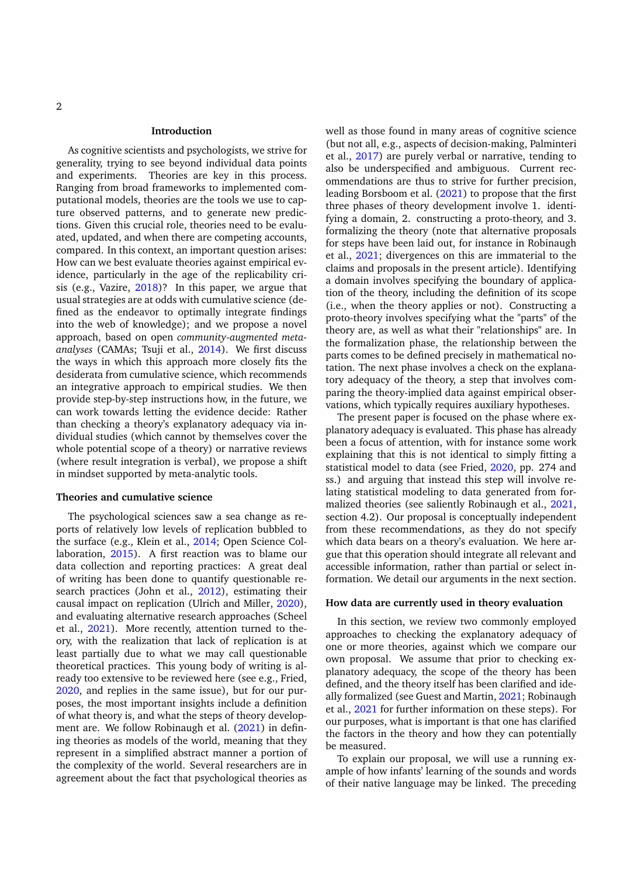## **Introduction**

As cognitive scientists and psychologists, we strive for generality, trying to see beyond individual data points and experiments. Theories are key in this process. Ranging from broad frameworks to implemented computational models, theories are the tools we use to capture observed patterns, and to generate new predictions. Given this crucial role, theories need to be evaluated, updated, and when there are competing accounts, compared. In this context, an important question arises: How can we best evaluate theories against empirical evidence, particularly in the age of the replicability crisis (e.g., Vazire, [2018\)](#page-14-0)? In this paper, we argue that usual strategies are at odds with cumulative science (defined as the endeavor to optimally integrate findings into the web of knowledge); and we propose a novel approach, based on open *community-augmented metaanalyses* (CAMAs; Tsuji et al., [2014\)](#page-14-1). We first discuss the ways in which this approach more closely fits the desiderata from cumulative science, which recommends an integrative approach to empirical studies. We then provide step-by-step instructions how, in the future, we can work towards letting the evidence decide: Rather than checking a theory's explanatory adequacy via individual studies (which cannot by themselves cover the whole potential scope of a theory) or narrative reviews (where result integration is verbal), we propose a shift in mindset supported by meta-analytic tools.

#### **Theories and cumulative science**

The psychological sciences saw a sea change as reports of relatively low levels of replication bubbled to the surface (e.g., Klein et al., [2014;](#page-13-0) Open Science Collaboration, [2015\)](#page-13-1). A first reaction was to blame our data collection and reporting practices: A great deal of writing has been done to quantify questionable research practices (John et al., [2012\)](#page-13-2), estimating their causal impact on replication (Ulrich and Miller, [2020\)](#page-14-2), and evaluating alternative research approaches (Scheel et al., [2021\)](#page-14-3). More recently, attention turned to theory, with the realization that lack of replication is at least partially due to what we may call questionable theoretical practices. This young body of writing is already too extensive to be reviewed here (see e.g., Fried, [2020,](#page-12-0) and replies in the same issue), but for our purposes, the most important insights include a definition of what theory is, and what the steps of theory development are. We follow Robinaugh et al. [\(2021\)](#page-14-4) in defining theories as models of the world, meaning that they represent in a simplified abstract manner a portion of the complexity of the world. Several researchers are in agreement about the fact that psychological theories as

well as those found in many areas of cognitive science (but not all, e.g., aspects of decision-making, Palminteri et al., [2017\)](#page-13-3) are purely verbal or narrative, tending to also be underspecified and ambiguous. Current recommendations are thus to strive for further precision, leading Borsboom et al. [\(2021\)](#page-12-1) to propose that the first three phases of theory development involve 1. identifying a domain, 2. constructing a proto-theory, and 3. formalizing the theory (note that alternative proposals for steps have been laid out, for instance in Robinaugh et al., [2021;](#page-14-4) divergences on this are immaterial to the claims and proposals in the present article). Identifying a domain involves specifying the boundary of application of the theory, including the definition of its scope (i.e., when the theory applies or not). Constructing a proto-theory involves specifying what the "parts" of the theory are, as well as what their "relationships" are. In the formalization phase, the relationship between the parts comes to be defined precisely in mathematical notation. The next phase involves a check on the explanatory adequacy of the theory, a step that involves comparing the theory-implied data against empirical observations, which typically requires auxiliary hypotheses.

The present paper is focused on the phase where explanatory adequacy is evaluated. This phase has already been a focus of attention, with for instance some work explaining that this is not identical to simply fitting a statistical model to data (see Fried, [2020,](#page-12-0) pp. 274 and ss.) and arguing that instead this step will involve relating statistical modeling to data generated from formalized theories (see saliently Robinaugh et al., [2021,](#page-14-4) section 4.2). Our proposal is conceptually independent from these recommendations, as they do not specify which data bears on a theory's evaluation. We here argue that this operation should integrate all relevant and accessible information, rather than partial or select information. We detail our arguments in the next section.

# **How data are currently used in theory evaluation**

In this section, we review two commonly employed approaches to checking the explanatory adequacy of one or more theories, against which we compare our own proposal. We assume that prior to checking explanatory adequacy, the scope of the theory has been defined, and the theory itself has been clarified and ideally formalized (see Guest and Martin, [2021;](#page-12-2) Robinaugh et al., [2021](#page-14-4) for further information on these steps). For our purposes, what is important is that one has clarified the factors in the theory and how they can potentially be measured.

To explain our proposal, we will use a running example of how infants' learning of the sounds and words of their native language may be linked. The preceding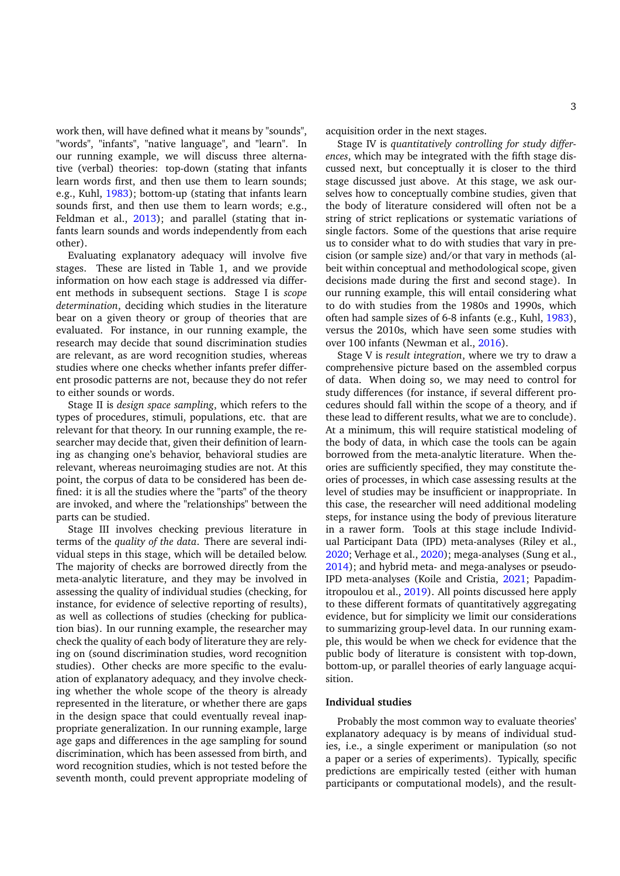work then, will have defined what it means by "sounds", "words", "infants", "native language", and "learn". In our running example, we will discuss three alternative (verbal) theories: top-down (stating that infants learn words first, and then use them to learn sounds; e.g., Kuhl, [1983\)](#page-13-4); bottom-up (stating that infants learn sounds first, and then use them to learn words; e.g., Feldman et al., [2013\)](#page-12-3); and parallel (stating that infants learn sounds and words independently from each other).

Evaluating explanatory adequacy will involve five stages. These are listed in Table 1, and we provide information on how each stage is addressed via different methods in subsequent sections. Stage I is *scope determination*, deciding which studies in the literature bear on a given theory or group of theories that are evaluated. For instance, in our running example, the research may decide that sound discrimination studies are relevant, as are word recognition studies, whereas studies where one checks whether infants prefer different prosodic patterns are not, because they do not refer to either sounds or words.

Stage II is *design space sampling*, which refers to the types of procedures, stimuli, populations, etc. that are relevant for that theory. In our running example, the researcher may decide that, given their definition of learning as changing one's behavior, behavioral studies are relevant, whereas neuroimaging studies are not. At this point, the corpus of data to be considered has been defined: it is all the studies where the "parts" of the theory are invoked, and where the "relationships" between the parts can be studied.

Stage III involves checking previous literature in terms of the *quality of the data*. There are several individual steps in this stage, which will be detailed below. The majority of checks are borrowed directly from the meta-analytic literature, and they may be involved in assessing the quality of individual studies (checking, for instance, for evidence of selective reporting of results), as well as collections of studies (checking for publication bias). In our running example, the researcher may check the quality of each body of literature they are relying on (sound discrimination studies, word recognition studies). Other checks are more specific to the evaluation of explanatory adequacy, and they involve checking whether the whole scope of the theory is already represented in the literature, or whether there are gaps in the design space that could eventually reveal inappropriate generalization. In our running example, large age gaps and differences in the age sampling for sound discrimination, which has been assessed from birth, and word recognition studies, which is not tested before the seventh month, could prevent appropriate modeling of

acquisition order in the next stages.

Stage IV is *quantitatively controlling for study differences*, which may be integrated with the fifth stage discussed next, but conceptually it is closer to the third stage discussed just above. At this stage, we ask ourselves how to conceptually combine studies, given that the body of literature considered will often not be a string of strict replications or systematic variations of single factors. Some of the questions that arise require us to consider what to do with studies that vary in precision (or sample size) and/or that vary in methods (albeit within conceptual and methodological scope, given decisions made during the first and second stage). In our running example, this will entail considering what to do with studies from the 1980s and 1990s, which often had sample sizes of 6-8 infants (e.g., Kuhl, [1983\)](#page-13-4), versus the 2010s, which have seen some studies with over 100 infants (Newman et al., [2016\)](#page-13-5).

Stage V is *result integration*, where we try to draw a comprehensive picture based on the assembled corpus of data. When doing so, we may need to control for study differences (for instance, if several different procedures should fall within the scope of a theory, and if these lead to different results, what we are to conclude). At a minimum, this will require statistical modeling of the body of data, in which case the tools can be again borrowed from the meta-analytic literature. When theories are sufficiently specified, they may constitute theories of processes, in which case assessing results at the level of studies may be insufficient or inappropriate. In this case, the researcher will need additional modeling steps, for instance using the body of previous literature in a rawer form. Tools at this stage include Individual Participant Data (IPD) meta-analyses (Riley et al., [2020;](#page-13-6) Verhage et al., [2020\)](#page-14-5); mega-analyses (Sung et al., [2014\)](#page-14-6); and hybrid meta- and mega-analyses or pseudo-IPD meta-analyses (Koile and Cristia, [2021;](#page-13-7) Papadimitropoulou et al., [2019\)](#page-13-8). All points discussed here apply to these different formats of quantitatively aggregating evidence, but for simplicity we limit our considerations to summarizing group-level data. In our running example, this would be when we check for evidence that the public body of literature is consistent with top-down, bottom-up, or parallel theories of early language acquisition.

#### **Individual studies**

Probably the most common way to evaluate theories' explanatory adequacy is by means of individual studies, i.e., a single experiment or manipulation (so not a paper or a series of experiments). Typically, specific predictions are empirically tested (either with human participants or computational models), and the result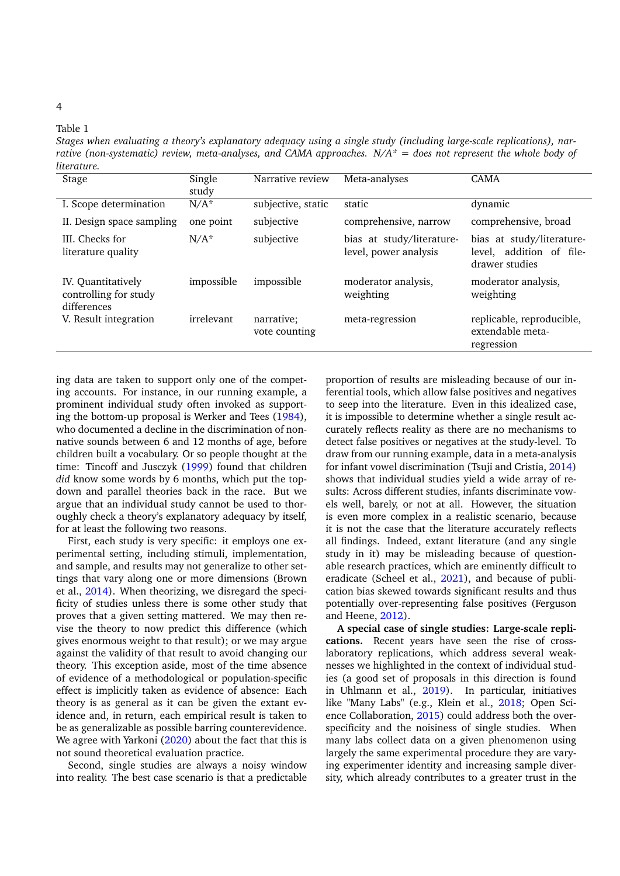Table 1

4

*Stages when evaluating a theory's explanatory adequacy using a single study (including large-scale replications), narrative (non-systematic) review, meta-analyses, and CAMA approaches. N/A\* = does not represent the whole body of literature.*

| Stage                                                      | Single<br>study | Narrative review            | Meta-analyses                                      | <b>CAMA</b>                                                             |
|------------------------------------------------------------|-----------------|-----------------------------|----------------------------------------------------|-------------------------------------------------------------------------|
| I. Scope determination                                     | $N/A^*$         | subjective, static          | static                                             | dynamic                                                                 |
| II. Design space sampling                                  | one point       | subjective                  | comprehensive, narrow                              | comprehensive, broad                                                    |
| III. Checks for<br>literature quality                      | $N/A^*$         | subjective                  | bias at study/literature-<br>level, power analysis | bias at study/literature-<br>level, addition of file-<br>drawer studies |
| IV. Quantitatively<br>controlling for study<br>differences | impossible      | impossible                  | moderator analysis,<br>weighting                   | moderator analysis,<br>weighting                                        |
| V. Result integration                                      | irrelevant      | narrative;<br>vote counting | meta-regression                                    | replicable, reproducible,<br>extendable meta-<br>regression             |

ing data are taken to support only one of the competing accounts. For instance, in our running example, a prominent individual study often invoked as supporting the bottom-up proposal is Werker and Tees [\(1984\)](#page-14-7), who documented a decline in the discrimination of nonnative sounds between 6 and 12 months of age, before children built a vocabulary. Or so people thought at the time: Tincoff and Jusczyk [\(1999\)](#page-14-8) found that children *did* know some words by 6 months, which put the topdown and parallel theories back in the race. But we argue that an individual study cannot be used to thoroughly check a theory's explanatory adequacy by itself, for at least the following two reasons.

First, each study is very specific: it employs one experimental setting, including stimuli, implementation, and sample, and results may not generalize to other settings that vary along one or more dimensions (Brown et al., [2014\)](#page-12-4). When theorizing, we disregard the specificity of studies unless there is some other study that proves that a given setting mattered. We may then revise the theory to now predict this difference (which gives enormous weight to that result); or we may argue against the validity of that result to avoid changing our theory. This exception aside, most of the time absence of evidence of a methodological or population-specific effect is implicitly taken as evidence of absence: Each theory is as general as it can be given the extant evidence and, in return, each empirical result is taken to be as generalizable as possible barring counterevidence. We agree with Yarkoni [\(2020\)](#page-14-9) about the fact that this is not sound theoretical evaluation practice.

Second, single studies are always a noisy window into reality. The best case scenario is that a predictable

proportion of results are misleading because of our inferential tools, which allow false positives and negatives to seep into the literature. Even in this idealized case, it is impossible to determine whether a single result accurately reflects reality as there are no mechanisms to detect false positives or negatives at the study-level. To draw from our running example, data in a meta-analysis for infant vowel discrimination (Tsuji and Cristia, [2014\)](#page-14-10) shows that individual studies yield a wide array of results: Across different studies, infants discriminate vowels well, barely, or not at all. However, the situation is even more complex in a realistic scenario, because it is not the case that the literature accurately reflects all findings. Indeed, extant literature (and any single study in it) may be misleading because of questionable research practices, which are eminently difficult to eradicate (Scheel et al., [2021\)](#page-14-3), and because of publication bias skewed towards significant results and thus potentially over-representing false positives (Ferguson and Heene, [2012\)](#page-12-5).

**A special case of single studies: Large-scale replications.** Recent years have seen the rise of crosslaboratory replications, which address several weaknesses we highlighted in the context of individual studies (a good set of proposals in this direction is found in Uhlmann et al., [2019\)](#page-14-11). In particular, initiatives like "Many Labs" (e.g., Klein et al., [2018;](#page-13-9) Open Science Collaboration, [2015\)](#page-13-1) could address both the overspecificity and the noisiness of single studies. When many labs collect data on a given phenomenon using largely the same experimental procedure they are varying experimenter identity and increasing sample diversity, which already contributes to a greater trust in the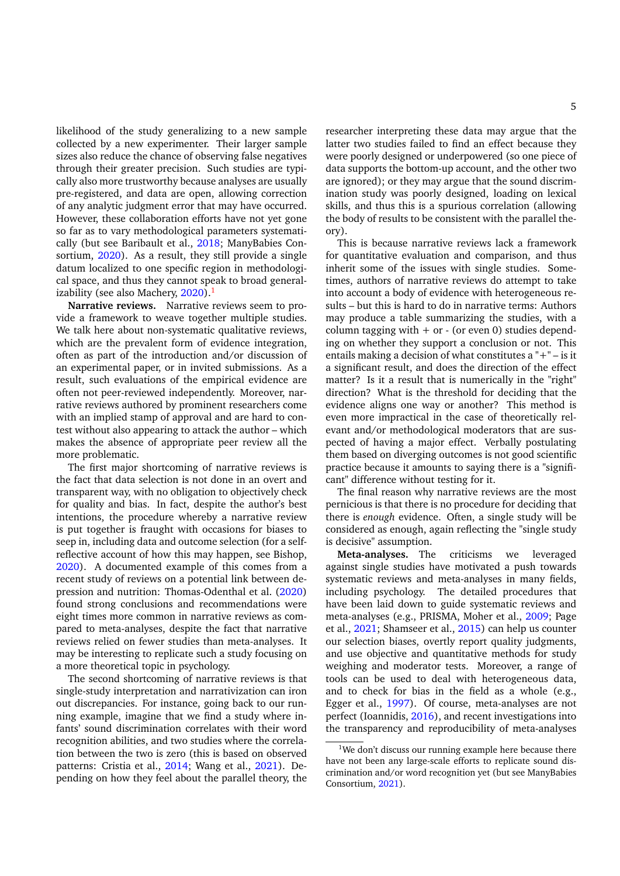likelihood of the study generalizing to a new sample collected by a new experimenter. Their larger sample sizes also reduce the chance of observing false negatives through their greater precision. Such studies are typically also more trustworthy because analyses are usually pre-registered, and data are open, allowing correction of any analytic judgment error that may have occurred. However, these collaboration efforts have not yet gone so far as to vary methodological parameters systematically (but see Baribault et al., [2018;](#page-12-6) ManyBabies Consortium, [2020\)](#page-13-10). As a result, they still provide a single datum localized to one specific region in methodological space, and thus they cannot speak to broad generalizability (see also Machery,  $2020$ ).<sup>[1](#page-4-0)</sup>

**Narrative reviews.** Narrative reviews seem to provide a framework to weave together multiple studies. We talk here about non-systematic qualitative reviews, which are the prevalent form of evidence integration, often as part of the introduction and/or discussion of an experimental paper, or in invited submissions. As a result, such evaluations of the empirical evidence are often not peer-reviewed independently. Moreover, narrative reviews authored by prominent researchers come with an implied stamp of approval and are hard to contest without also appearing to attack the author – which makes the absence of appropriate peer review all the more problematic.

The first major shortcoming of narrative reviews is the fact that data selection is not done in an overt and transparent way, with no obligation to objectively check for quality and bias. In fact, despite the author's best intentions, the procedure whereby a narrative review is put together is fraught with occasions for biases to seep in, including data and outcome selection (for a selfreflective account of how this may happen, see Bishop, [2020\)](#page-12-7). A documented example of this comes from a recent study of reviews on a potential link between depression and nutrition: Thomas-Odenthal et al. [\(2020\)](#page-14-12) found strong conclusions and recommendations were eight times more common in narrative reviews as compared to meta-analyses, despite the fact that narrative reviews relied on fewer studies than meta-analyses. It may be interesting to replicate such a study focusing on a more theoretical topic in psychology.

The second shortcoming of narrative reviews is that single-study interpretation and narrativization can iron out discrepancies. For instance, going back to our running example, imagine that we find a study where infants' sound discrimination correlates with their word recognition abilities, and two studies where the correlation between the two is zero (this is based on observed patterns: Cristia et al., [2014;](#page-12-8) Wang et al., [2021\)](#page-14-13). Depending on how they feel about the parallel theory, the

researcher interpreting these data may argue that the latter two studies failed to find an effect because they were poorly designed or underpowered (so one piece of data supports the bottom-up account, and the other two are ignored); or they may argue that the sound discrimination study was poorly designed, loading on lexical skills, and thus this is a spurious correlation (allowing the body of results to be consistent with the parallel theory).

This is because narrative reviews lack a framework for quantitative evaluation and comparison, and thus inherit some of the issues with single studies. Sometimes, authors of narrative reviews do attempt to take into account a body of evidence with heterogeneous results – but this is hard to do in narrative terms: Authors may produce a table summarizing the studies, with a column tagging with  $+$  or  $-$  (or even 0) studies depending on whether they support a conclusion or not. This entails making a decision of what constitutes a "+" – is it a significant result, and does the direction of the effect matter? Is it a result that is numerically in the "right" direction? What is the threshold for deciding that the evidence aligns one way or another? This method is even more impractical in the case of theoretically relevant and/or methodological moderators that are suspected of having a major effect. Verbally postulating them based on diverging outcomes is not good scientific practice because it amounts to saying there is a "significant" difference without testing for it.

The final reason why narrative reviews are the most pernicious is that there is no procedure for deciding that there is *enough* evidence. Often, a single study will be considered as enough, again reflecting the "single study is decisive" assumption.

**Meta-analyses.** The criticisms we leveraged against single studies have motivated a push towards systematic reviews and meta-analyses in many fields, including psychology. The detailed procedures that have been laid down to guide systematic reviews and meta-analyses (e.g., PRISMA, Moher et al., [2009;](#page-13-12) Page et al., [2021;](#page-13-13) Shamseer et al., [2015\)](#page-14-14) can help us counter our selection biases, overtly report quality judgments, and use objective and quantitative methods for study weighing and moderator tests. Moreover, a range of tools can be used to deal with heterogeneous data, and to check for bias in the field as a whole (e.g., Egger et al., [1997\)](#page-12-9). Of course, meta-analyses are not perfect (Ioannidis, [2016\)](#page-13-14), and recent investigations into the transparency and reproducibility of meta-analyses

<span id="page-4-0"></span><sup>&</sup>lt;sup>1</sup>We don't discuss our running example here because there have not been any large-scale efforts to replicate sound discrimination and/or word recognition yet (but see ManyBabies Consortium, [2021\)](#page-13-15).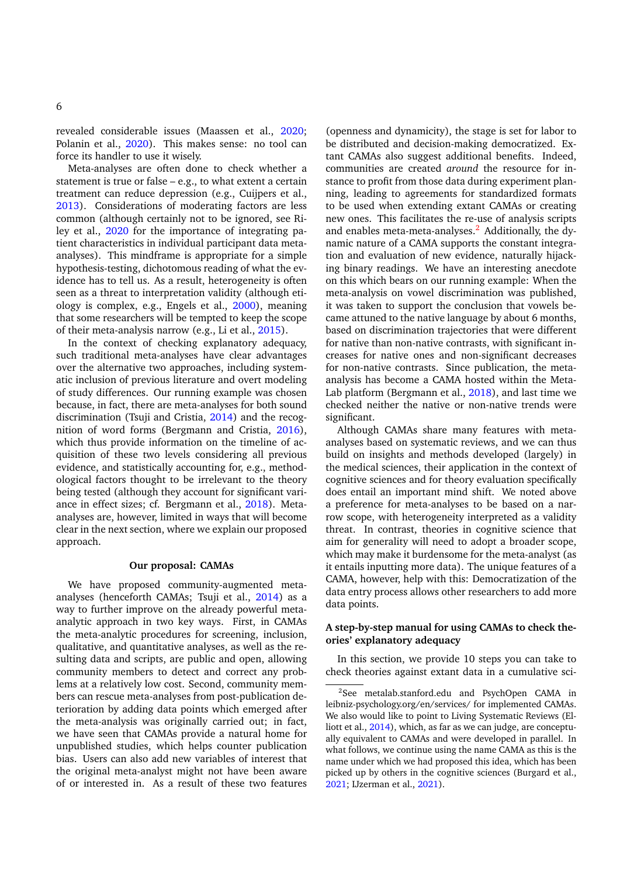revealed considerable issues (Maassen et al., [2020;](#page-13-16) Polanin et al., [2020\)](#page-13-17). This makes sense: no tool can force its handler to use it wisely.

Meta-analyses are often done to check whether a statement is true or false – e.g., to what extent a certain treatment can reduce depression (e.g., Cuijpers et al., [2013\)](#page-12-10). Considerations of moderating factors are less common (although certainly not to be ignored, see Riley et al., [2020](#page-13-6) for the importance of integrating patient characteristics in individual participant data metaanalyses). This mindframe is appropriate for a simple hypothesis-testing, dichotomous reading of what the evidence has to tell us. As a result, heterogeneity is often seen as a threat to interpretation validity (although etiology is complex, e.g., Engels et al., [2000\)](#page-12-11), meaning that some researchers will be tempted to keep the scope of their meta-analysis narrow (e.g., Li et al., [2015\)](#page-13-18).

In the context of checking explanatory adequacy, such traditional meta-analyses have clear advantages over the alternative two approaches, including systematic inclusion of previous literature and overt modeling of study differences. Our running example was chosen because, in fact, there are meta-analyses for both sound discrimination (Tsuji and Cristia, [2014\)](#page-14-10) and the recognition of word forms (Bergmann and Cristia, [2016\)](#page-12-12), which thus provide information on the timeline of acquisition of these two levels considering all previous evidence, and statistically accounting for, e.g., methodological factors thought to be irrelevant to the theory being tested (although they account for significant variance in effect sizes; cf. Bergmann et al., [2018\)](#page-12-13). Metaanalyses are, however, limited in ways that will become clear in the next section, where we explain our proposed approach.

#### **Our proposal: CAMAs**

We have proposed community-augmented metaanalyses (henceforth CAMAs; Tsuji et al., [2014\)](#page-14-1) as a way to further improve on the already powerful metaanalytic approach in two key ways. First, in CAMAs the meta-analytic procedures for screening, inclusion, qualitative, and quantitative analyses, as well as the resulting data and scripts, are public and open, allowing community members to detect and correct any problems at a relatively low cost. Second, community members can rescue meta-analyses from post-publication deterioration by adding data points which emerged after the meta-analysis was originally carried out; in fact, we have seen that CAMAs provide a natural home for unpublished studies, which helps counter publication bias. Users can also add new variables of interest that the original meta-analyst might not have been aware of or interested in. As a result of these two features

(openness and dynamicity), the stage is set for labor to be distributed and decision-making democratized. Extant CAMAs also suggest additional benefits. Indeed, communities are created *around* the resource for instance to profit from those data during experiment planning, leading to agreements for standardized formats to be used when extending extant CAMAs or creating new ones. This facilitates the re-use of analysis scripts and enables meta-meta-analyses.<sup>[2](#page-5-0)</sup> Additionally, the dynamic nature of a CAMA supports the constant integration and evaluation of new evidence, naturally hijacking binary readings. We have an interesting anecdote on this which bears on our running example: When the meta-analysis on vowel discrimination was published, it was taken to support the conclusion that vowels became attuned to the native language by about 6 months, based on discrimination trajectories that were different for native than non-native contrasts, with significant increases for native ones and non-significant decreases for non-native contrasts. Since publication, the metaanalysis has become a CAMA hosted within the Meta-Lab platform (Bergmann et al., [2018\)](#page-12-13), and last time we checked neither the native or non-native trends were significant.

Although CAMAs share many features with metaanalyses based on systematic reviews, and we can thus build on insights and methods developed (largely) in the medical sciences, their application in the context of cognitive sciences and for theory evaluation specifically does entail an important mind shift. We noted above a preference for meta-analyses to be based on a narrow scope, with heterogeneity interpreted as a validity threat. In contrast, theories in cognitive science that aim for generality will need to adopt a broader scope, which may make it burdensome for the meta-analyst (as it entails inputting more data). The unique features of a CAMA, however, help with this: Democratization of the data entry process allows other researchers to add more data points.

# **A step-by-step manual for using CAMAs to check theories' explanatory adequacy**

In this section, we provide 10 steps you can take to check theories against extant data in a cumulative sci-

<span id="page-5-0"></span><sup>2</sup>See metalab.stanford.edu and PsychOpen CAMA in leibniz-psychology.org/en/services/ for implemented CAMAs. We also would like to point to Living Systematic Reviews (El-liott et al., [2014\)](#page-12-14), which, as far as we can judge, are conceptually equivalent to CAMAs and were developed in parallel. In what follows, we continue using the name CAMA as this is the name under which we had proposed this idea, which has been picked up by others in the cognitive sciences (Burgard et al., [2021;](#page-12-15) IJzerman et al., [2021\)](#page-13-19).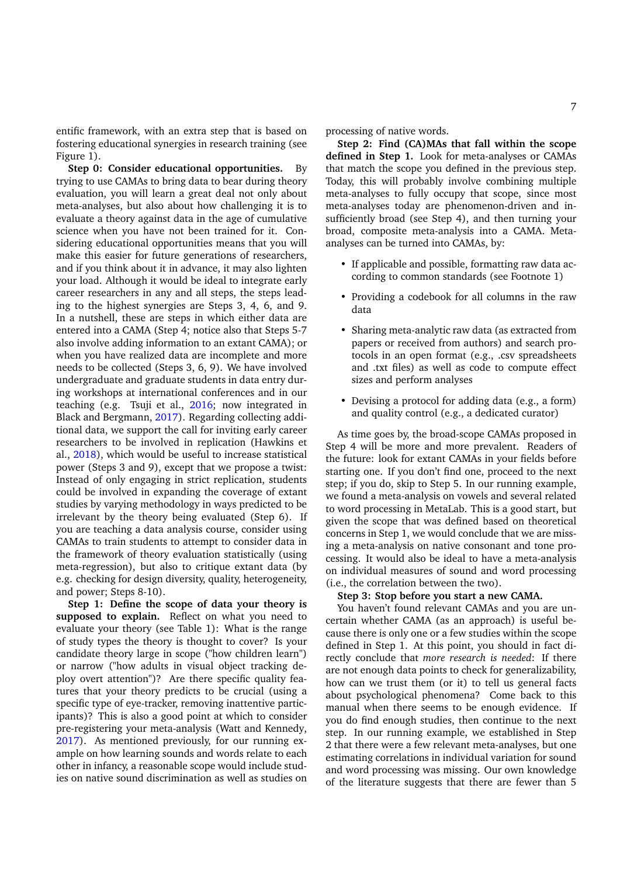entific framework, with an extra step that is based on fostering educational synergies in research training (see Figure 1).

**Step 0: Consider educational opportunities.** By trying to use CAMAs to bring data to bear during theory evaluation, you will learn a great deal not only about meta-analyses, but also about how challenging it is to evaluate a theory against data in the age of cumulative science when you have not been trained for it. Considering educational opportunities means that you will make this easier for future generations of researchers, and if you think about it in advance, it may also lighten your load. Although it would be ideal to integrate early career researchers in any and all steps, the steps leading to the highest synergies are Steps 3, 4, 6, and 9. In a nutshell, these are steps in which either data are entered into a CAMA (Step 4; notice also that Steps 5-7 also involve adding information to an extant CAMA); or when you have realized data are incomplete and more needs to be collected (Steps 3, 6, 9). We have involved undergraduate and graduate students in data entry during workshops at international conferences and in our teaching (e.g. Tsuji et al., [2016;](#page-14-15) now integrated in Black and Bergmann, [2017\)](#page-12-16). Regarding collecting additional data, we support the call for inviting early career researchers to be involved in replication (Hawkins et al., [2018\)](#page-12-17), which would be useful to increase statistical power (Steps 3 and 9), except that we propose a twist: Instead of only engaging in strict replication, students could be involved in expanding the coverage of extant studies by varying methodology in ways predicted to be irrelevant by the theory being evaluated (Step 6). If you are teaching a data analysis course, consider using CAMAs to train students to attempt to consider data in the framework of theory evaluation statistically (using meta-regression), but also to critique extant data (by e.g. checking for design diversity, quality, heterogeneity, and power; Steps 8-10).

**Step 1: Define the scope of data your theory is supposed to explain.** Reflect on what you need to evaluate your theory (see Table 1): What is the range of study types the theory is thought to cover? Is your candidate theory large in scope ("how children learn") or narrow ("how adults in visual object tracking deploy overt attention")? Are there specific quality features that your theory predicts to be crucial (using a specific type of eye-tracker, removing inattentive participants)? This is also a good point at which to consider pre-registering your meta-analysis (Watt and Kennedy, [2017\)](#page-14-16). As mentioned previously, for our running example on how learning sounds and words relate to each other in infancy, a reasonable scope would include studies on native sound discrimination as well as studies on processing of native words.

**Step 2: Find (CA)MAs that fall within the scope defined in Step 1.** Look for meta-analyses or CAMAs that match the scope you defined in the previous step. Today, this will probably involve combining multiple meta-analyses to fully occupy that scope, since most meta-analyses today are phenomenon-driven and insufficiently broad (see Step 4), and then turning your broad, composite meta-analysis into a CAMA. Metaanalyses can be turned into CAMAs, by:

- If applicable and possible, formatting raw data according to common standards (see Footnote 1)
- Providing a codebook for all columns in the raw data
- Sharing meta-analytic raw data (as extracted from papers or received from authors) and search protocols in an open format (e.g., .csv spreadsheets and .txt files) as well as code to compute effect sizes and perform analyses
- Devising a protocol for adding data (e.g., a form) and quality control (e.g., a dedicated curator)

As time goes by, the broad-scope CAMAs proposed in Step 4 will be more and more prevalent. Readers of the future: look for extant CAMAs in your fields before starting one. If you don't find one, proceed to the next step; if you do, skip to Step 5. In our running example, we found a meta-analysis on vowels and several related to word processing in MetaLab. This is a good start, but given the scope that was defined based on theoretical concerns in Step 1, we would conclude that we are missing a meta-analysis on native consonant and tone processing. It would also be ideal to have a meta-analysis on individual measures of sound and word processing (i.e., the correlation between the two).

# **Step 3: Stop before you start a new CAMA.**

You haven't found relevant CAMAs and you are uncertain whether CAMA (as an approach) is useful because there is only one or a few studies within the scope defined in Step 1. At this point, you should in fact directly conclude that *more research is needed*: If there are not enough data points to check for generalizability, how can we trust them (or it) to tell us general facts about psychological phenomena? Come back to this manual when there seems to be enough evidence. If you do find enough studies, then continue to the next step. In our running example, we established in Step 2 that there were a few relevant meta-analyses, but one estimating correlations in individual variation for sound and word processing was missing. Our own knowledge of the literature suggests that there are fewer than 5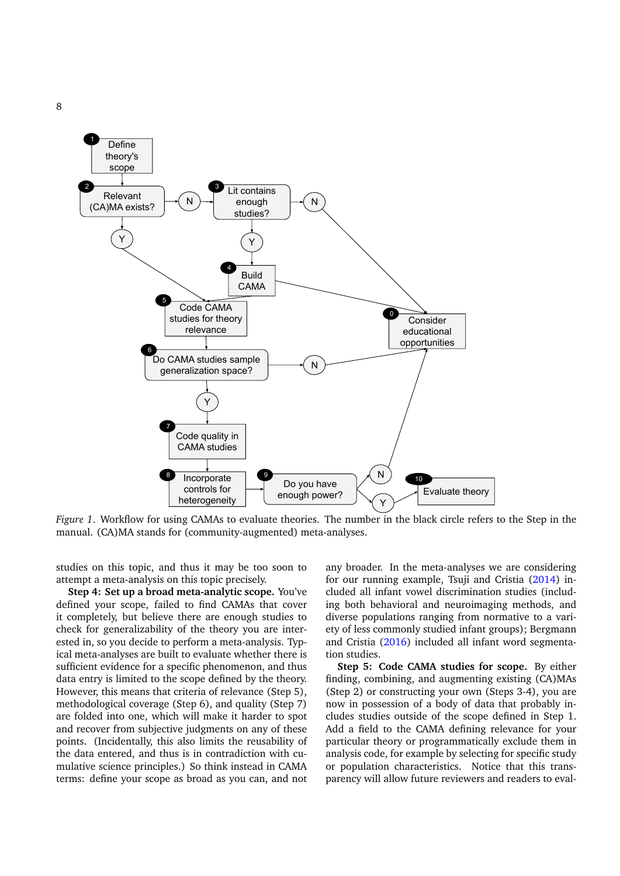

*Figure 1*. Workflow for using CAMAs to evaluate theories. The number in the black circle refers to the Step in the manual. (CA)MA stands for (community-augmented) meta-analyses.

studies on this topic, and thus it may be too soon to attempt a meta-analysis on this topic precisely.

**Step 4: Set up a broad meta-analytic scope.** You've defined your scope, failed to find CAMAs that cover it completely, but believe there are enough studies to check for generalizability of the theory you are interested in, so you decide to perform a meta-analysis. Typical meta-analyses are built to evaluate whether there is sufficient evidence for a specific phenomenon, and thus data entry is limited to the scope defined by the theory. However, this means that criteria of relevance (Step 5), methodological coverage (Step 6), and quality (Step 7) are folded into one, which will make it harder to spot and recover from subjective judgments on any of these points. (Incidentally, this also limits the reusability of the data entered, and thus is in contradiction with cumulative science principles.) So think instead in CAMA terms: define your scope as broad as you can, and not

any broader. In the meta-analyses we are considering for our running example, Tsuji and Cristia [\(2014\)](#page-14-10) included all infant vowel discrimination studies (including both behavioral and neuroimaging methods, and diverse populations ranging from normative to a variety of less commonly studied infant groups); Bergmann and Cristia [\(2016\)](#page-12-12) included all infant word segmentation studies.

**Step 5: Code CAMA studies for scope.** By either finding, combining, and augmenting existing (CA)MAs (Step 2) or constructing your own (Steps 3-4), you are now in possession of a body of data that probably includes studies outside of the scope defined in Step 1. Add a field to the CAMA defining relevance for your particular theory or programmatically exclude them in analysis code, for example by selecting for specific study or population characteristics. Notice that this transparency will allow future reviewers and readers to eval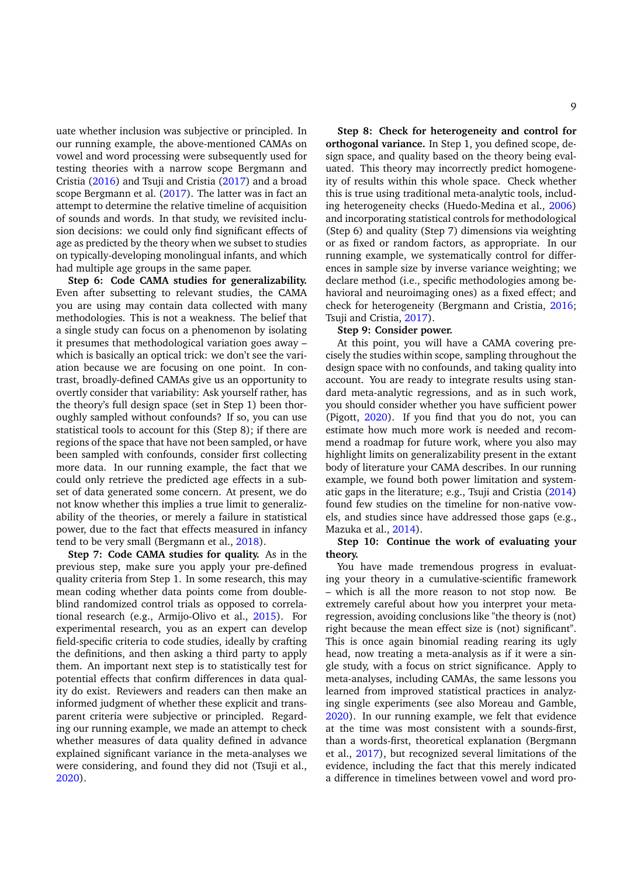uate whether inclusion was subjective or principled. In our running example, the above-mentioned CAMAs on vowel and word processing were subsequently used for testing theories with a narrow scope Bergmann and Cristia [\(2016\)](#page-12-12) and Tsuji and Cristia [\(2017\)](#page-14-17) and a broad scope Bergmann et al. [\(2017\)](#page-12-18). The latter was in fact an attempt to determine the relative timeline of acquisition of sounds and words. In that study, we revisited inclusion decisions: we could only find significant effects of age as predicted by the theory when we subset to studies on typically-developing monolingual infants, and which had multiple age groups in the same paper.

**Step 6: Code CAMA studies for generalizability.** Even after subsetting to relevant studies, the CAMA you are using may contain data collected with many methodologies. This is not a weakness. The belief that a single study can focus on a phenomenon by isolating it presumes that methodological variation goes away – which is basically an optical trick: we don't see the variation because we are focusing on one point. In contrast, broadly-defined CAMAs give us an opportunity to overtly consider that variability: Ask yourself rather, has the theory's full design space (set in Step 1) been thoroughly sampled without confounds? If so, you can use statistical tools to account for this (Step 8); if there are regions of the space that have not been sampled, or have been sampled with confounds, consider first collecting more data. In our running example, the fact that we could only retrieve the predicted age effects in a subset of data generated some concern. At present, we do not know whether this implies a true limit to generalizability of the theories, or merely a failure in statistical power, due to the fact that effects measured in infancy tend to be very small (Bergmann et al., [2018\)](#page-12-13).

**Step 7: Code CAMA studies for quality.** As in the previous step, make sure you apply your pre-defined quality criteria from Step 1. In some research, this may mean coding whether data points come from doubleblind randomized control trials as opposed to correlational research (e.g., Armijo-Olivo et al., [2015\)](#page-11-0). For experimental research, you as an expert can develop field-specific criteria to code studies, ideally by crafting the definitions, and then asking a third party to apply them. An important next step is to statistically test for potential effects that confirm differences in data quality do exist. Reviewers and readers can then make an informed judgment of whether these explicit and transparent criteria were subjective or principled. Regarding our running example, we made an attempt to check whether measures of data quality defined in advance explained significant variance in the meta-analyses we were considering, and found they did not (Tsuji et al., [2020\)](#page-14-18).

**Step 8: Check for heterogeneity and control for orthogonal variance.** In Step 1, you defined scope, design space, and quality based on the theory being evaluated. This theory may incorrectly predict homogeneity of results within this whole space. Check whether this is true using traditional meta-analytic tools, including heterogeneity checks (Huedo-Medina et al., [2006\)](#page-12-19) and incorporating statistical controls for methodological (Step 6) and quality (Step 7) dimensions via weighting or as fixed or random factors, as appropriate. In our running example, we systematically control for differences in sample size by inverse variance weighting; we declare method (i.e., specific methodologies among behavioral and neuroimaging ones) as a fixed effect; and check for heterogeneity (Bergmann and Cristia, [2016;](#page-12-12) Tsuji and Cristia, [2017\)](#page-14-17).

#### **Step 9: Consider power.**

At this point, you will have a CAMA covering precisely the studies within scope, sampling throughout the design space with no confounds, and taking quality into account. You are ready to integrate results using standard meta-analytic regressions, and as in such work, you should consider whether you have sufficient power (Pigott, [2020\)](#page-13-20). If you find that you do not, you can estimate how much more work is needed and recommend a roadmap for future work, where you also may highlight limits on generalizability present in the extant body of literature your CAMA describes. In our running example, we found both power limitation and systematic gaps in the literature; e.g., Tsuji and Cristia [\(2014\)](#page-14-10) found few studies on the timeline for non-native vowels, and studies since have addressed those gaps (e.g., Mazuka et al., [2014\)](#page-13-21).

## **Step 10: Continue the work of evaluating your theory.**

You have made tremendous progress in evaluating your theory in a cumulative-scientific framework – which is all the more reason to not stop now. Be extremely careful about how you interpret your metaregression, avoiding conclusions like "the theory is (not) right because the mean effect size is (not) significant". This is once again binomial reading rearing its ugly head, now treating a meta-analysis as if it were a single study, with a focus on strict significance. Apply to meta-analyses, including CAMAs, the same lessons you learned from improved statistical practices in analyzing single experiments (see also Moreau and Gamble, [2020\)](#page-13-22). In our running example, we felt that evidence at the time was most consistent with a sounds-first, than a words-first, theoretical explanation (Bergmann et al., [2017\)](#page-12-18), but recognized several limitations of the evidence, including the fact that this merely indicated a difference in timelines between vowel and word pro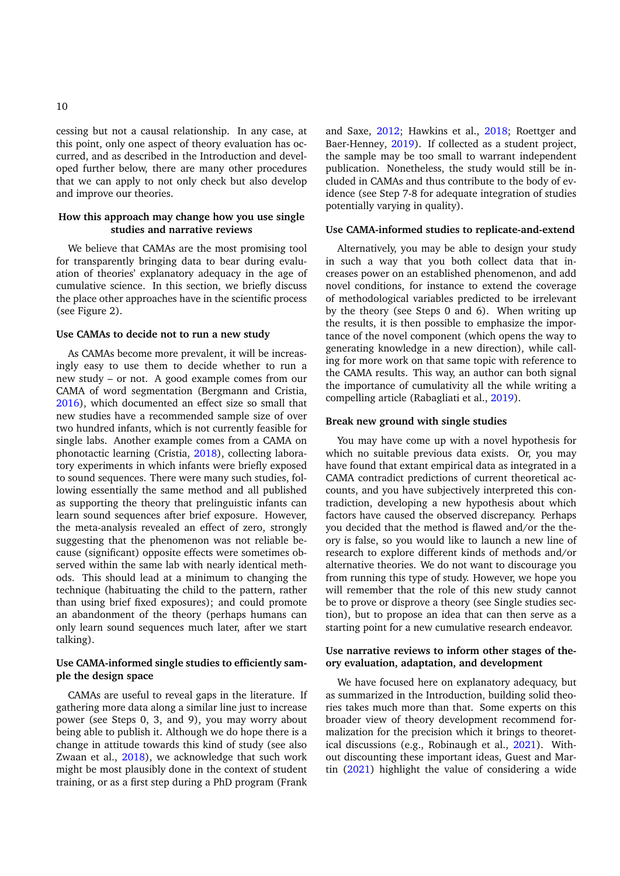cessing but not a causal relationship. In any case, at this point, only one aspect of theory evaluation has occurred, and as described in the Introduction and developed further below, there are many other procedures that we can apply to not only check but also develop and improve our theories.

# **How this approach may change how you use single studies and narrative reviews**

We believe that CAMAs are the most promising tool for transparently bringing data to bear during evaluation of theories' explanatory adequacy in the age of cumulative science. In this section, we briefly discuss the place other approaches have in the scientific process (see Figure 2).

#### **Use CAMAs to decide not to run a new study**

As CAMAs become more prevalent, it will be increasingly easy to use them to decide whether to run a new study – or not. A good example comes from our CAMA of word segmentation (Bergmann and Cristia, [2016\)](#page-12-12), which documented an effect size so small that new studies have a recommended sample size of over two hundred infants, which is not currently feasible for single labs. Another example comes from a CAMA on phonotactic learning (Cristia, [2018\)](#page-12-20), collecting laboratory experiments in which infants were briefly exposed to sound sequences. There were many such studies, following essentially the same method and all published as supporting the theory that prelinguistic infants can learn sound sequences after brief exposure. However, the meta-analysis revealed an effect of zero, strongly suggesting that the phenomenon was not reliable because (significant) opposite effects were sometimes observed within the same lab with nearly identical methods. This should lead at a minimum to changing the technique (habituating the child to the pattern, rather than using brief fixed exposures); and could promote an abandonment of the theory (perhaps humans can only learn sound sequences much later, after we start talking).

# **Use CAMA-informed single studies to efficiently sample the design space**

CAMAs are useful to reveal gaps in the literature. If gathering more data along a similar line just to increase power (see Steps 0, 3, and 9), you may worry about being able to publish it. Although we do hope there is a change in attitude towards this kind of study (see also Zwaan et al., [2018\)](#page-14-19), we acknowledge that such work might be most plausibly done in the context of student training, or as a first step during a PhD program (Frank and Saxe, [2012;](#page-12-21) Hawkins et al., [2018;](#page-12-17) Roettger and Baer-Henney, [2019\)](#page-14-20). If collected as a student project, the sample may be too small to warrant independent publication. Nonetheless, the study would still be included in CAMAs and thus contribute to the body of evidence (see Step 7-8 for adequate integration of studies potentially varying in quality).

#### **Use CAMA-informed studies to replicate-and-extend**

Alternatively, you may be able to design your study in such a way that you both collect data that increases power on an established phenomenon, and add novel conditions, for instance to extend the coverage of methodological variables predicted to be irrelevant by the theory (see Steps 0 and 6). When writing up the results, it is then possible to emphasize the importance of the novel component (which opens the way to generating knowledge in a new direction), while calling for more work on that same topic with reference to the CAMA results. This way, an author can both signal the importance of cumulativity all the while writing a compelling article (Rabagliati et al., [2019\)](#page-13-23).

### **Break new ground with single studies**

You may have come up with a novel hypothesis for which no suitable previous data exists. Or, you may have found that extant empirical data as integrated in a CAMA contradict predictions of current theoretical accounts, and you have subjectively interpreted this contradiction, developing a new hypothesis about which factors have caused the observed discrepancy. Perhaps you decided that the method is flawed and/or the theory is false, so you would like to launch a new line of research to explore different kinds of methods and/or alternative theories. We do not want to discourage you from running this type of study. However, we hope you will remember that the role of this new study cannot be to prove or disprove a theory (see Single studies section), but to propose an idea that can then serve as a starting point for a new cumulative research endeavor.

# **Use narrative reviews to inform other stages of theory evaluation, adaptation, and development**

We have focused here on explanatory adequacy, but as summarized in the Introduction, building solid theories takes much more than that. Some experts on this broader view of theory development recommend formalization for the precision which it brings to theoretical discussions (e.g., Robinaugh et al., [2021\)](#page-14-4). Without discounting these important ideas, Guest and Martin [\(2021\)](#page-12-2) highlight the value of considering a wide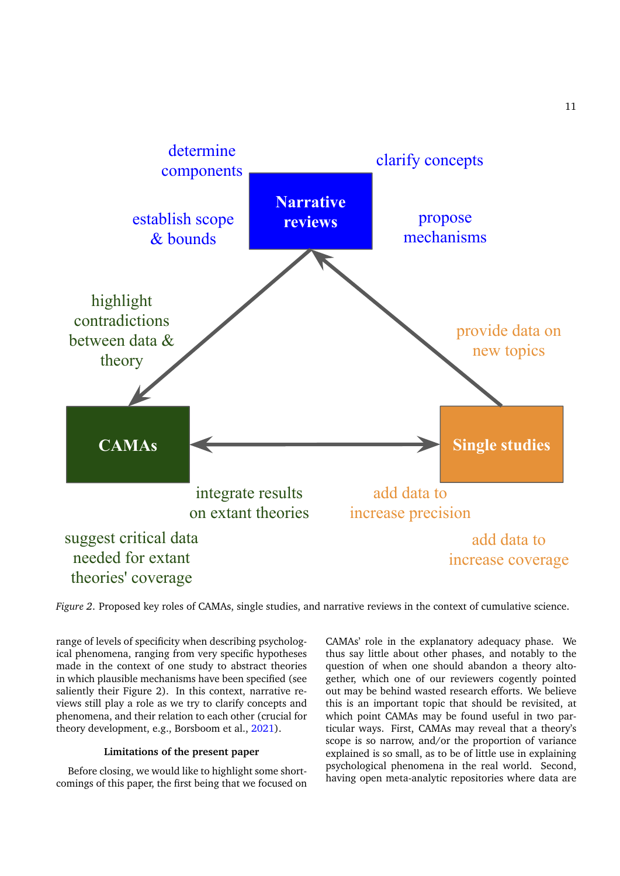

*Figure 2*. Proposed key roles of CAMAs, single studies, and narrative reviews in the context of cumulative science.

range of levels of specificity when describing psychological phenomena, ranging from very specific hypotheses made in the context of one study to abstract theories in which plausible mechanisms have been specified (see saliently their Figure 2). In this context, narrative reviews still play a role as we try to clarify concepts and phenomena, and their relation to each other (crucial for theory development, e.g., Borsboom et al., [2021\)](#page-12-1).

# **Limitations of the present paper**

Before closing, we would like to highlight some shortcomings of this paper, the first being that we focused on CAMAs' role in the explanatory adequacy phase. We thus say little about other phases, and notably to the question of when one should abandon a theory altogether, which one of our reviewers cogently pointed out may be behind wasted research efforts. We believe this is an important topic that should be revisited, at which point CAMAs may be found useful in two particular ways. First, CAMAs may reveal that a theory's scope is so narrow, and/or the proportion of variance explained is so small, as to be of little use in explaining psychological phenomena in the real world. Second, having open meta-analytic repositories where data are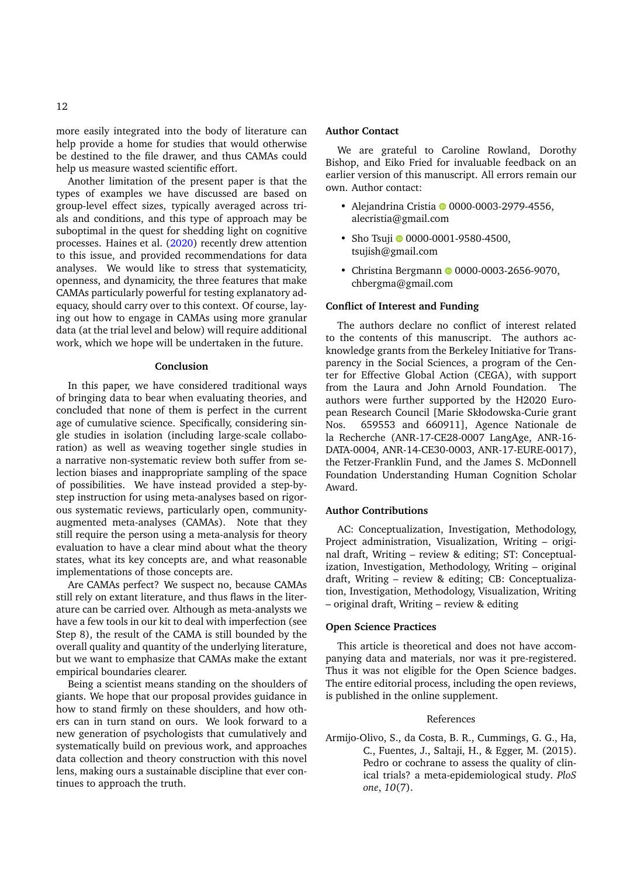more easily integrated into the body of literature can help provide a home for studies that would otherwise be destined to the file drawer, and thus CAMAs could help us measure wasted scientific effort.

Another limitation of the present paper is that the types of examples we have discussed are based on group-level effect sizes, typically averaged across trials and conditions, and this type of approach may be suboptimal in the quest for shedding light on cognitive processes. Haines et al. [\(2020\)](#page-12-22) recently drew attention to this issue, and provided recommendations for data analyses. We would like to stress that systematicity, openness, and dynamicity, the three features that make CAMAs particularly powerful for testing explanatory adequacy, should carry over to this context. Of course, laying out how to engage in CAMAs using more granular data (at the trial level and below) will require additional work, which we hope will be undertaken in the future.

#### **Conclusion**

In this paper, we have considered traditional ways of bringing data to bear when evaluating theories, and concluded that none of them is perfect in the current age of cumulative science. Specifically, considering single studies in isolation (including large-scale collaboration) as well as weaving together single studies in a narrative non-systematic review both suffer from selection biases and inappropriate sampling of the space of possibilities. We have instead provided a step-bystep instruction for using meta-analyses based on rigorous systematic reviews, particularly open, communityaugmented meta-analyses (CAMAs). Note that they still require the person using a meta-analysis for theory evaluation to have a clear mind about what the theory states, what its key concepts are, and what reasonable implementations of those concepts are.

Are CAMAs perfect? We suspect no, because CAMAs still rely on extant literature, and thus flaws in the literature can be carried over. Although as meta-analysts we have a few tools in our kit to deal with imperfection (see Step 8), the result of the CAMA is still bounded by the overall quality and quantity of the underlying literature, but we want to emphasize that CAMAs make the extant empirical boundaries clearer.

Being a scientist means standing on the shoulders of giants. We hope that our proposal provides guidance in how to stand firmly on these shoulders, and how others can in turn stand on ours. We look forward to a new generation of psychologists that cumulatively and systematically build on previous work, and approaches data collection and theory construction with this novel lens, making ours a sustainable discipline that ever continues to approach the truth.

# **Author Contact**

We are grateful to Caroline Rowland, Dorothy Bishop, and Eiko Fried for invaluable feedback on an earlier version of this manuscript. All errors remain our own. Author contact:

- Alejandrina Cristia <sup>1</sup> 0000-0003-2979-4556, alecristia@gmail.com
- Sho Tsuji <sup>0</sup> 0000-0001-9580-4500, tsujish@gmail.com
- Christina Bergmann <sup>0</sup> 0000-0003-2656-9070, chbergma@gmail.com

#### **Conflict of Interest and Funding**

The authors declare no conflict of interest related to the contents of this manuscript. The authors acknowledge grants from the Berkeley Initiative for Transparency in the Social Sciences, a program of the Center for Effective Global Action (CEGA), with support from the Laura and John Arnold Foundation. The authors were further supported by the H2020 European Research Council [Marie Skłodowska-Curie grant Nos. 659553 and 660911], Agence Nationale de la Recherche (ANR-17-CE28-0007 LangAge, ANR-16- DATA-0004, ANR-14-CE30-0003, ANR-17-EURE-0017), the Fetzer-Franklin Fund, and the James S. McDonnell Foundation Understanding Human Cognition Scholar Award.

#### **Author Contributions**

AC: Conceptualization, Investigation, Methodology, Project administration, Visualization, Writing – original draft, Writing – review & editing; ST: Conceptualization, Investigation, Methodology, Writing – original draft, Writing – review & editing; CB: Conceptualization, Investigation, Methodology, Visualization, Writing – original draft, Writing – review & editing

#### **Open Science Practices**

This article is theoretical and does not have accompanying data and materials, nor was it pre-registered. Thus it was not eligible for the Open Science badges. The entire editorial process, including the open reviews, is published in the online supplement.

#### References

<span id="page-11-0"></span>Armijo-Olivo, S., da Costa, B. R., Cummings, G. G., Ha, C., Fuentes, J., Saltaji, H., & Egger, M. (2015). Pedro or cochrane to assess the quality of clinical trials? a meta-epidemiological study. *PloS one*, *10*(7).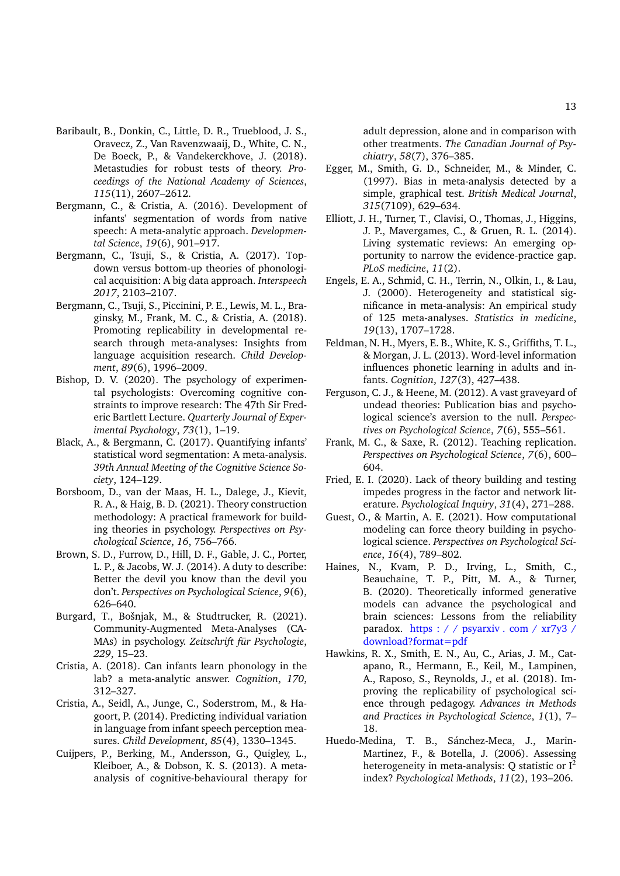- <span id="page-12-6"></span>Baribault, B., Donkin, C., Little, D. R., Trueblood, J. S., Oravecz, Z., Van Ravenzwaaij, D., White, C. N., De Boeck, P., & Vandekerckhove, J. (2018). Metastudies for robust tests of theory. *Proceedings of the National Academy of Sciences*, *115*(11), 2607–2612.
- <span id="page-12-12"></span>Bergmann, C., & Cristia, A. (2016). Development of infants' segmentation of words from native speech: A meta-analytic approach. *Developmental Science*, *19*(6), 901–917.
- <span id="page-12-18"></span>Bergmann, C., Tsuji, S., & Cristia, A. (2017). Topdown versus bottom-up theories of phonological acquisition: A big data approach. *Interspeech 2017*, 2103–2107.
- <span id="page-12-13"></span>Bergmann, C., Tsuji, S., Piccinini, P. E., Lewis, M. L., Braginsky, M., Frank, M. C., & Cristia, A. (2018). Promoting replicability in developmental research through meta-analyses: Insights from language acquisition research. *Child Development*, *89*(6), 1996–2009.
- <span id="page-12-7"></span>Bishop, D. V. (2020). The psychology of experimental psychologists: Overcoming cognitive constraints to improve research: The 47th Sir Frederic Bartlett Lecture. *Quarterly Journal of Experimental Psychology*, *73*(1), 1–19.
- <span id="page-12-16"></span>Black, A., & Bergmann, C. (2017). Quantifying infants' statistical word segmentation: A meta-analysis. *39th Annual Meeting of the Cognitive Science Society*, 124–129.
- <span id="page-12-1"></span>Borsboom, D., van der Maas, H. L., Dalege, J., Kievit, R. A., & Haig, B. D. (2021). Theory construction methodology: A practical framework for building theories in psychology. *Perspectives on Psychological Science*, *16*, 756–766.
- <span id="page-12-4"></span>Brown, S. D., Furrow, D., Hill, D. F., Gable, J. C., Porter, L. P., & Jacobs, W. J. (2014). A duty to describe: Better the devil you know than the devil you don't. *Perspectives on Psychological Science*, *9*(6), 626–640.
- <span id="page-12-15"></span>Burgard, T., Bošnjak, M., & Studtrucker, R. (2021). Community-Augmented Meta-Analyses (CA-MAs) in psychology. *Zeitschrift für Psychologie*, *229*, 15–23.
- <span id="page-12-20"></span>Cristia, A. (2018). Can infants learn phonology in the lab? a meta-analytic answer. *Cognition*, *170*, 312–327.
- <span id="page-12-8"></span>Cristia, A., Seidl, A., Junge, C., Soderstrom, M., & Hagoort, P. (2014). Predicting individual variation in language from infant speech perception measures. *Child Development*, *85*(4), 1330–1345.
- <span id="page-12-10"></span>Cuijpers, P., Berking, M., Andersson, G., Quigley, L., Kleiboer, A., & Dobson, K. S. (2013). A metaanalysis of cognitive-behavioural therapy for

adult depression, alone and in comparison with other treatments. *The Canadian Journal of Psychiatry*, *58*(7), 376–385.

- <span id="page-12-9"></span>Egger, M., Smith, G. D., Schneider, M., & Minder, C. (1997). Bias in meta-analysis detected by a simple, graphical test. *British Medical Journal*, *315*(7109), 629–634.
- <span id="page-12-14"></span>Elliott, J. H., Turner, T., Clavisi, O., Thomas, J., Higgins, J. P., Mavergames, C., & Gruen, R. L. (2014). Living systematic reviews: An emerging opportunity to narrow the evidence-practice gap. *PLoS medicine*, *11*(2).
- <span id="page-12-11"></span>Engels, E. A., Schmid, C. H., Terrin, N., Olkin, I., & Lau, J. (2000). Heterogeneity and statistical significance in meta-analysis: An empirical study of 125 meta-analyses. *Statistics in medicine*, *19*(13), 1707–1728.
- <span id="page-12-3"></span>Feldman, N. H., Myers, E. B., White, K. S., Griffiths, T. L., & Morgan, J. L. (2013). Word-level information influences phonetic learning in adults and infants. *Cognition*, *127*(3), 427–438.
- <span id="page-12-5"></span>Ferguson, C. J., & Heene, M. (2012). A vast graveyard of undead theories: Publication bias and psychological science's aversion to the null. *Perspectives on Psychological Science*, *7*(6), 555–561.
- <span id="page-12-21"></span>Frank, M. C., & Saxe, R. (2012). Teaching replication. *Perspectives on Psychological Science*, *7*(6), 600– 604.
- <span id="page-12-0"></span>Fried, E. I. (2020). Lack of theory building and testing impedes progress in the factor and network literature. *Psychological Inquiry*, *31*(4), 271–288.
- <span id="page-12-2"></span>Guest, O., & Martin, A. E. (2021). How computational modeling can force theory building in psychological science. *Perspectives on Psychological Science*, *16*(4), 789–802.
- <span id="page-12-22"></span>Haines, N., Kvam, P. D., Irving, L., Smith, C., Beauchaine, T. P., Pitt, M. A., & Turner, B. (2020). Theoretically informed generative models can advance the psychological and brain sciences: Lessons from the reliability paradox. [https : / / psyarxiv . com / xr7y3 /](https://psyarxiv.com/xr7y3/download?format=pdf) [download?format=pdf](https://psyarxiv.com/xr7y3/download?format=pdf)
- <span id="page-12-17"></span>Hawkins, R. X., Smith, E. N., Au, C., Arias, J. M., Catapano, R., Hermann, E., Keil, M., Lampinen, A., Raposo, S., Reynolds, J., et al. (2018). Improving the replicability of psychological science through pedagogy. *Advances in Methods and Practices in Psychological Science*, *1*(1), 7– 18.
- <span id="page-12-19"></span>Huedo-Medina, T. B., Sánchez-Meca, J., Marin-Martinez, F., & Botella, J. (2006). Assessing heterogeneity in meta-analysis: Q statistic or I<sup>2</sup> index? *Psychological Methods*, *11*(2), 193–206.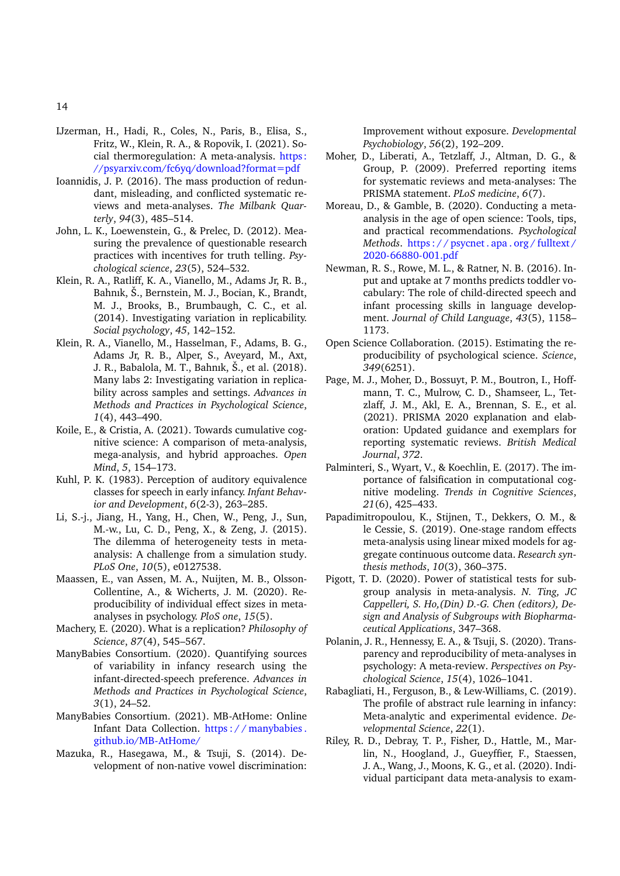- <span id="page-13-19"></span>IJzerman, H., Hadi, R., Coles, N., Paris, B., Elisa, S., Fritz, W., Klein, R. A., & Ropovik, I. (2021). Social thermoregulation: A meta-analysis. [https :](https://psyarxiv.com/fc6yq/download?format=pdf) [//psyarxiv.com/fc6yq/download?format=pdf](https://psyarxiv.com/fc6yq/download?format=pdf)
- <span id="page-13-14"></span>Ioannidis, J. P. (2016). The mass production of redundant, misleading, and conflicted systematic reviews and meta-analyses. *The Milbank Quarterly*, *94*(3), 485–514.
- <span id="page-13-2"></span>John, L. K., Loewenstein, G., & Prelec, D. (2012). Measuring the prevalence of questionable research practices with incentives for truth telling. *Psychological science*, *23*(5), 524–532.
- <span id="page-13-0"></span>Klein, R. A., Ratliff, K. A., Vianello, M., Adams Jr, R. B., Bahnık, Š., Bernstein, M. J., Bocian, K., Brandt, M. J., Brooks, B., Brumbaugh, C. C., et al. (2014). Investigating variation in replicability. *Social psychology*, *45*, 142–152.
- <span id="page-13-9"></span>Klein, R. A., Vianello, M., Hasselman, F., Adams, B. G., Adams Jr, R. B., Alper, S., Aveyard, M., Axt, J. R., Babalola, M. T., Bahnık, Š., et al. (2018). Many labs 2: Investigating variation in replicability across samples and settings. *Advances in Methods and Practices in Psychological Science*, *1*(4), 443–490.
- <span id="page-13-7"></span>Koile, E., & Cristia, A. (2021). Towards cumulative cognitive science: A comparison of meta-analysis, mega-analysis, and hybrid approaches. *Open Mind*, *5*, 154–173.
- <span id="page-13-4"></span>Kuhl, P. K. (1983). Perception of auditory equivalence classes for speech in early infancy. *Infant Behavior and Development*, *6*(2-3), 263–285.
- <span id="page-13-18"></span>Li, S.-j., Jiang, H., Yang, H., Chen, W., Peng, J., Sun, M.-w., Lu, C. D., Peng, X., & Zeng, J. (2015). The dilemma of heterogeneity tests in metaanalysis: A challenge from a simulation study. *PLoS One*, *10*(5), e0127538.
- <span id="page-13-16"></span>Maassen, E., van Assen, M. A., Nuijten, M. B., Olsson-Collentine, A., & Wicherts, J. M. (2020). Reproducibility of individual effect sizes in metaanalyses in psychology. *PloS one*, *15*(5).
- <span id="page-13-11"></span>Machery, E. (2020). What is a replication? *Philosophy of Science*, *87*(4), 545–567.
- <span id="page-13-10"></span>ManyBabies Consortium. (2020). Quantifying sources of variability in infancy research using the infant-directed-speech preference. *Advances in Methods and Practices in Psychological Science*, *3*(1), 24–52.
- <span id="page-13-15"></span>ManyBabies Consortium. (2021). MB-AtHome: Online Infant Data Collection. [https : / / manybabies .](https://manybabies.github.io/MB-AtHome/) [github.io/MB-AtHome/](https://manybabies.github.io/MB-AtHome/)
- <span id="page-13-21"></span>Mazuka, R., Hasegawa, M., & Tsuji, S. (2014). Development of non-native vowel discrimination:

Improvement without exposure. *Developmental Psychobiology*, *56*(2), 192–209.

- <span id="page-13-12"></span>Moher, D., Liberati, A., Tetzlaff, J., Altman, D. G., & Group, P. (2009). Preferred reporting items for systematic reviews and meta-analyses: The PRISMA statement. *PLoS medicine*, *6*(7).
- <span id="page-13-22"></span>Moreau, D., & Gamble, B. (2020). Conducting a metaanalysis in the age of open science: Tools, tips, and practical recommendations. *Psychological Methods*. [https : / / psycnet . apa . org / fulltext /](https://psycnet.apa.org/fulltext/2020-66880-001.pdf) [2020-66880-001.pdf](https://psycnet.apa.org/fulltext/2020-66880-001.pdf)
- <span id="page-13-5"></span>Newman, R. S., Rowe, M. L., & Ratner, N. B. (2016). Input and uptake at 7 months predicts toddler vocabulary: The role of child-directed speech and infant processing skills in language development. *Journal of Child Language*, *43*(5), 1158– 1173.
- <span id="page-13-1"></span>Open Science Collaboration. (2015). Estimating the reproducibility of psychological science. *Science*, *349*(6251).
- <span id="page-13-13"></span>Page, M. J., Moher, D., Bossuyt, P. M., Boutron, I., Hoffmann, T. C., Mulrow, C. D., Shamseer, L., Tetzlaff, J. M., Akl, E. A., Brennan, S. E., et al. (2021). PRISMA 2020 explanation and elaboration: Updated guidance and exemplars for reporting systematic reviews. *British Medical Journal*, *372*.
- <span id="page-13-3"></span>Palminteri, S., Wyart, V., & Koechlin, E. (2017). The importance of falsification in computational cognitive modeling. *Trends in Cognitive Sciences*, *21*(6), 425–433.
- <span id="page-13-8"></span>Papadimitropoulou, K., Stijnen, T., Dekkers, O. M., & le Cessie, S. (2019). One-stage random effects meta-analysis using linear mixed models for aggregate continuous outcome data. *Research synthesis methods*, *10*(3), 360–375.
- <span id="page-13-20"></span>Pigott, T. D. (2020). Power of statistical tests for subgroup analysis in meta-analysis. *N. Ting, JC Cappelleri, S. Ho,(Din) D.-G. Chen (editors), Design and Analysis of Subgroups with Biopharmaceutical Applications*, 347–368.
- <span id="page-13-17"></span>Polanin, J. R., Hennessy, E. A., & Tsuji, S. (2020). Transparency and reproducibility of meta-analyses in psychology: A meta-review. *Perspectives on Psychological Science*, *15*(4), 1026–1041.
- <span id="page-13-23"></span>Rabagliati, H., Ferguson, B., & Lew-Williams, C. (2019). The profile of abstract rule learning in infancy: Meta-analytic and experimental evidence. *Developmental Science*, *22*(1).
- <span id="page-13-6"></span>Riley, R. D., Debray, T. P., Fisher, D., Hattle, M., Marlin, N., Hoogland, J., Gueyffier, F., Staessen, J. A., Wang, J., Moons, K. G., et al. (2020). Individual participant data meta-analysis to exam-